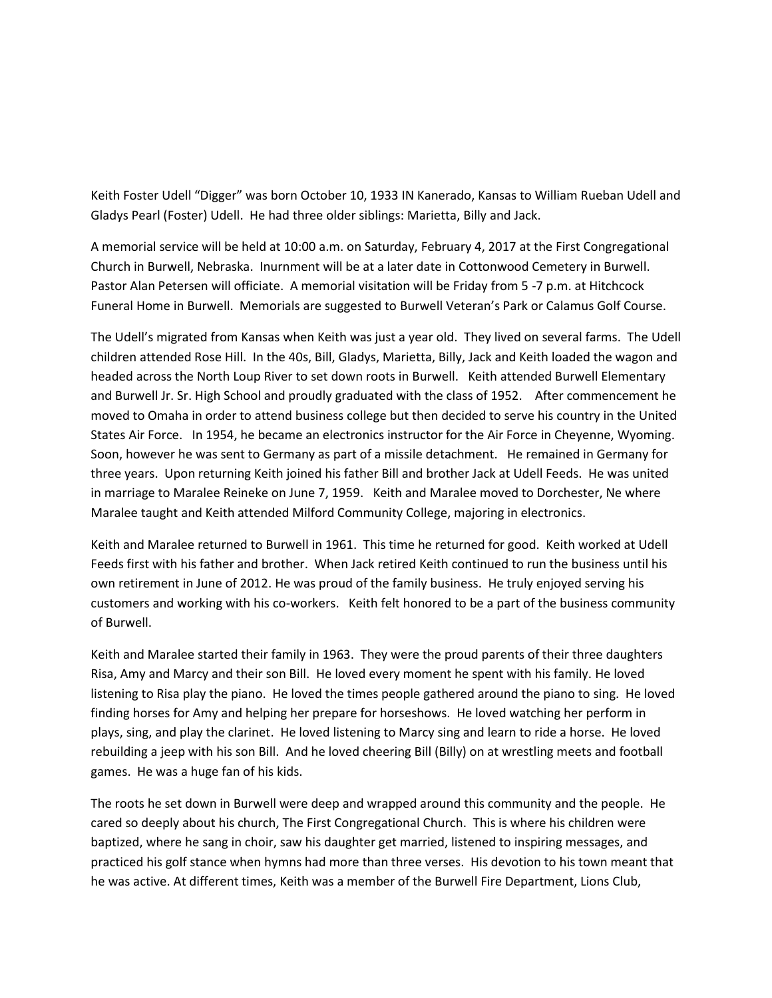Keith Foster Udell "Digger" was born October 10, 1933 IN Kanerado, Kansas to William Rueban Udell and Gladys Pearl (Foster) Udell. He had three older siblings: Marietta, Billy and Jack.

A memorial service will be held at 10:00 a.m. on Saturday, February 4, 2017 at the First Congregational Church in Burwell, Nebraska. Inurnment will be at a later date in Cottonwood Cemetery in Burwell. Pastor Alan Petersen will officiate. A memorial visitation will be Friday from 5 -7 p.m. at Hitchcock Funeral Home in Burwell. Memorials are suggested to Burwell Veteran's Park or Calamus Golf Course.

The Udell's migrated from Kansas when Keith was just a year old. They lived on several farms. The Udell children attended Rose Hill. In the 40s, Bill, Gladys, Marietta, Billy, Jack and Keith loaded the wagon and headed across the North Loup River to set down roots in Burwell. Keith attended Burwell Elementary and Burwell Jr. Sr. High School and proudly graduated with the class of 1952. After commencement he moved to Omaha in order to attend business college but then decided to serve his country in the United States Air Force. In 1954, he became an electronics instructor for the Air Force in Cheyenne, Wyoming. Soon, however he was sent to Germany as part of a missile detachment. He remained in Germany for three years. Upon returning Keith joined his father Bill and brother Jack at Udell Feeds. He was united in marriage to Maralee Reineke on June 7, 1959. Keith and Maralee moved to Dorchester, Ne where Maralee taught and Keith attended Milford Community College, majoring in electronics.

Keith and Maralee returned to Burwell in 1961. This time he returned for good. Keith worked at Udell Feeds first with his father and brother. When Jack retired Keith continued to run the business until his own retirement in June of 2012. He was proud of the family business. He truly enjoyed serving his customers and working with his co-workers. Keith felt honored to be a part of the business community of Burwell.

Keith and Maralee started their family in 1963. They were the proud parents of their three daughters Risa, Amy and Marcy and their son Bill. He loved every moment he spent with his family. He loved listening to Risa play the piano. He loved the times people gathered around the piano to sing. He loved finding horses for Amy and helping her prepare for horseshows. He loved watching her perform in plays, sing, and play the clarinet. He loved listening to Marcy sing and learn to ride a horse. He loved rebuilding a jeep with his son Bill. And he loved cheering Bill (Billy) on at wrestling meets and football games. He was a huge fan of his kids.

The roots he set down in Burwell were deep and wrapped around this community and the people. He cared so deeply about his church, The First Congregational Church. This is where his children were baptized, where he sang in choir, saw his daughter get married, listened to inspiring messages, and practiced his golf stance when hymns had more than three verses. His devotion to his town meant that he was active. At different times, Keith was a member of the Burwell Fire Department, Lions Club,